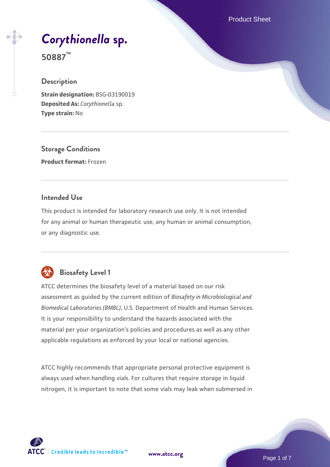Product Sheet

# *[Corythionella](https://www.atcc.org/products/50887)* **[sp.](https://www.atcc.org/products/50887)**

**50887™**

#### **Description**

**Strain designation:** BSG-03190019 **Deposited As:** *Corythionella* sp. **Type strain:** No

**Storage Conditions Product format:** Frozen

#### **Intended Use**

This product is intended for laboratory research use only. It is not intended for any animal or human therapeutic use, any human or animal consumption, or any diagnostic use.



### **Biosafety Level 1**

ATCC determines the biosafety level of a material based on our risk assessment as guided by the current edition of *Biosafety in Microbiological and Biomedical Laboratories (BMBL)*, U.S. Department of Health and Human Services. It is your responsibility to understand the hazards associated with the material per your organization's policies and procedures as well as any other applicable regulations as enforced by your local or national agencies.

ATCC highly recommends that appropriate personal protective equipment is always used when handling vials. For cultures that require storage in liquid nitrogen, it is important to note that some vials may leak when submersed in

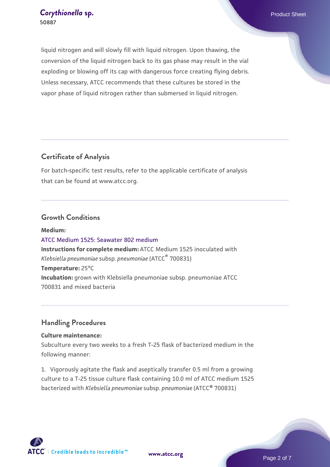#### **[Corythionella](https://www.atcc.org/products/50887) [sp.](https://www.atcc.org/products/50887) Corythionella** sp. **50887**

liquid nitrogen and will slowly fill with liquid nitrogen. Upon thawing, the conversion of the liquid nitrogen back to its gas phase may result in the vial exploding or blowing off its cap with dangerous force creating flying debris. Unless necessary, ATCC recommends that these cultures be stored in the vapor phase of liquid nitrogen rather than submersed in liquid nitrogen.

#### **Certificate of Analysis**

For batch-specific test results, refer to the applicable certificate of analysis that can be found at www.atcc.org.

#### **Growth Conditions**

**Medium:**  [ATCC Medium 1525: Seawater 802 medium](https://www.atcc.org/-/media/product-assets/documents/microbial-media-formulations/1/5/2/5/atcc-medium-1525.pdf?rev=a388414940634267b7071e94a0def7b3) **Instructions for complete medium:** ATCC Medium 1525 inoculated with *Klebsiella pneumoniae* subsp. *pneumoniae* (ATCC® 700831) **Temperature:** 25°C **Incubation:** grown with Klebsiella pneumoniae subsp. pneumoniae ATCC 700831 and mixed bacteria

#### **Handling Procedures**

#### **Culture maintenance:**

Subculture every two weeks to a fresh T-25 flask of bacterized medium in the following manner:

1. Vigorously agitate the flask and aseptically transfer 0.5 ml from a growing culture to a T-25 tissue culture flask containing 10.0 ml of ATCC medium 1525 bacterized with *Klebsiella pneumoniae* subsp. *pneumoniae* (ATCC® 700831)

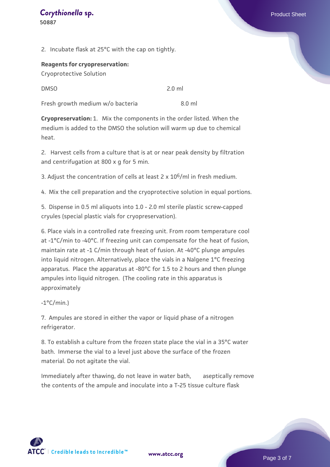2. Incubate flask at 25°C with the cap on tightly.

## **Reagents for cryopreservation:**

Cryoprotective Solution

| <b>DMSO</b> | $2.0$ ml |
|-------------|----------|
|             |          |

Fresh growth medium w/o bacteria 3.0 ml

**Cryopreservation:** 1. Mix the components in the order listed. When the medium is added to the DMSO the solution will warm up due to chemical heat.

2. Harvest cells from a culture that is at or near peak density by filtration and centrifugation at 800 x g for 5 min.

3. Adjust the concentration of cells at least  $2 \times 10^6$ /ml in fresh medium.

4. Mix the cell preparation and the cryoprotective solution in equal portions.

5. Dispense in 0.5 ml aliquots into 1.0 - 2.0 ml sterile plastic screw-capped cryules (special plastic vials for cryopreservation).

6. Place vials in a controlled rate freezing unit. From room temperature cool at -1°C/min to -40°C. If freezing unit can compensate for the heat of fusion, maintain rate at -1 C/min through heat of fusion. At -40°C plunge ampules into liquid nitrogen. Alternatively, place the vials in a Nalgene 1°C freezing apparatus. Place the apparatus at -80°C for 1.5 to 2 hours and then plunge ampules into liquid nitrogen. (The cooling rate in this apparatus is approximately

 $-1$ °C/min.)

7. Ampules are stored in either the vapor or liquid phase of a nitrogen refrigerator.

8. To establish a culture from the frozen state place the vial in a 35°C water bath. Immerse the vial to a level just above the surface of the frozen material. Do not agitate the vial.

Immediately after thawing, do not leave in water bath, aseptically remove the contents of the ampule and inoculate into a T-25 tissue culture flask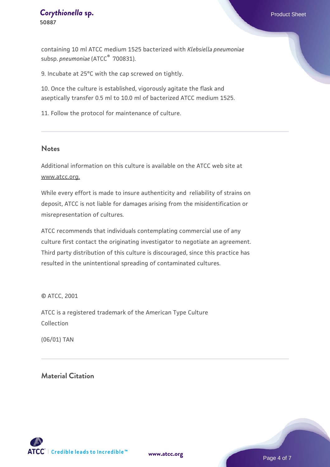#### **[Corythionella](https://www.atcc.org/products/50887) [sp.](https://www.atcc.org/products/50887) Corythionella** sp. **50887**

containing 10 ml ATCC medium 1525 bacterized with *Klebsiella pneumoniae* subsp. *pneumoniae* (ATCC® 700831).

9. Incubate at 25°C with the cap screwed on tightly.

10. Once the culture is established, vigorously agitate the flask and aseptically transfer 0.5 ml to 10.0 ml of bacterized ATCC medium 1525.

11. Follow the protocol for maintenance of culture.

#### **Notes**

Additional information on this culture is available on the ATCC web site at www.atcc.org.

While every effort is made to insure authenticity and reliability of strains on deposit, ATCC is not liable for damages arising from the misidentification or misrepresentation of cultures.

ATCC recommends that individuals contemplating commercial use of any culture first contact the originating investigator to negotiate an agreement. Third party distribution of this culture is discouraged, since this practice has resulted in the unintentional spreading of contaminated cultures.

© ATCC, 2001

ATCC is a registered trademark of the American Type Culture Collection

(06/01) TAN

#### **Material Citation**



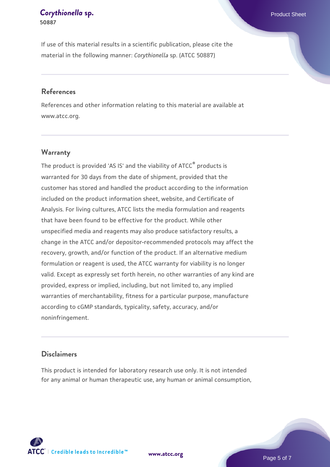# *[Corythionella](https://www.atcc.org/products/50887)* [sp.](https://www.atcc.org/products/50887) **Exercía de La Corythionella** sp.

**50887**

If use of this material results in a scientific publication, please cite the material in the following manner: *Corythionella* sp. (ATCC 50887)

#### **References**

References and other information relating to this material are available at www.atcc.org.

#### **Warranty**

The product is provided 'AS IS' and the viability of  $ATCC<sup>®</sup>$  products is warranted for 30 days from the date of shipment, provided that the customer has stored and handled the product according to the information included on the product information sheet, website, and Certificate of Analysis. For living cultures, ATCC lists the media formulation and reagents that have been found to be effective for the product. While other unspecified media and reagents may also produce satisfactory results, a change in the ATCC and/or depositor-recommended protocols may affect the recovery, growth, and/or function of the product. If an alternative medium formulation or reagent is used, the ATCC warranty for viability is no longer valid. Except as expressly set forth herein, no other warranties of any kind are provided, express or implied, including, but not limited to, any implied warranties of merchantability, fitness for a particular purpose, manufacture according to cGMP standards, typicality, safety, accuracy, and/or noninfringement.

#### **Disclaimers**

This product is intended for laboratory research use only. It is not intended for any animal or human therapeutic use, any human or animal consumption,

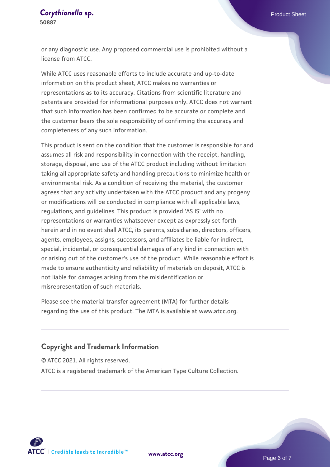#### *[Corythionella](https://www.atcc.org/products/50887)* [sp.](https://www.atcc.org/products/50887) **Exercía de La Corythionella** sp. **50887**

or any diagnostic use. Any proposed commercial use is prohibited without a license from ATCC.

While ATCC uses reasonable efforts to include accurate and up-to-date information on this product sheet, ATCC makes no warranties or representations as to its accuracy. Citations from scientific literature and patents are provided for informational purposes only. ATCC does not warrant that such information has been confirmed to be accurate or complete and the customer bears the sole responsibility of confirming the accuracy and completeness of any such information.

This product is sent on the condition that the customer is responsible for and assumes all risk and responsibility in connection with the receipt, handling, storage, disposal, and use of the ATCC product including without limitation taking all appropriate safety and handling precautions to minimize health or environmental risk. As a condition of receiving the material, the customer agrees that any activity undertaken with the ATCC product and any progeny or modifications will be conducted in compliance with all applicable laws, regulations, and guidelines. This product is provided 'AS IS' with no representations or warranties whatsoever except as expressly set forth herein and in no event shall ATCC, its parents, subsidiaries, directors, officers, agents, employees, assigns, successors, and affiliates be liable for indirect, special, incidental, or consequential damages of any kind in connection with or arising out of the customer's use of the product. While reasonable effort is made to ensure authenticity and reliability of materials on deposit, ATCC is not liable for damages arising from the misidentification or misrepresentation of such materials.

Please see the material transfer agreement (MTA) for further details regarding the use of this product. The MTA is available at www.atcc.org.

#### **Copyright and Trademark Information**

© ATCC 2021. All rights reserved.

ATCC is a registered trademark of the American Type Culture Collection.



**[www.atcc.org](http://www.atcc.org)**

Page 6 of 7